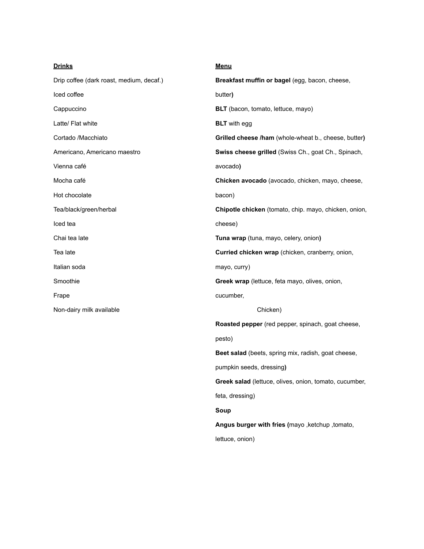| <b>Drinks</b>                            | <u>Menu</u>                                            |
|------------------------------------------|--------------------------------------------------------|
| Drip coffee (dark roast, medium, decaf.) | Breakfast muffin or bagel (egg, bacon, cheese,         |
| Iced coffee                              | butter)                                                |
| Cappuccino                               | BLT (bacon, tomato, lettuce, mayo)                     |
| Latte/ Flat white                        | <b>BLT</b> with egg                                    |
| Cortado /Macchiato                       | Grilled cheese /ham (whole-wheat b., cheese, butter)   |
| Americano, Americano maestro             | Swiss cheese grilled (Swiss Ch., goat Ch., Spinach,    |
| Vienna café                              | avocado)                                               |
| Mocha café                               | Chicken avocado (avocado, chicken, mayo, cheese,       |
| Hot chocolate                            | bacon)                                                 |
| Tea/black/green/herbal                   | Chipotle chicken (tomato, chip. mayo, chicken, onion,  |
| Iced tea                                 | cheese)                                                |
| Chai tea late                            | Tuna wrap (tuna, mayo, celery, onion)                  |
| Tea late                                 | Curried chicken wrap (chicken, cranberry, onion,       |
| Italian soda                             | mayo, curry)                                           |
| Smoothie                                 | Greek wrap (lettuce, feta mayo, olives, onion,         |
| Frape                                    | cucumber,                                              |
| Non-dairy milk available                 | Chicken)                                               |
|                                          | Roasted pepper (red pepper, spinach, goat cheese,      |
|                                          | pesto)                                                 |
|                                          | Beet salad (beets, spring mix, radish, goat cheese,    |
|                                          | pumpkin seeds, dressing)                               |
|                                          | Greek salad (lettuce, olives, onion, tomato, cucumber, |
|                                          | feta, dressing)                                        |
|                                          | Soup                                                   |
|                                          | Angus burger with fries (mayo, ketchup, tomato,        |
|                                          | lettuce, onion)                                        |